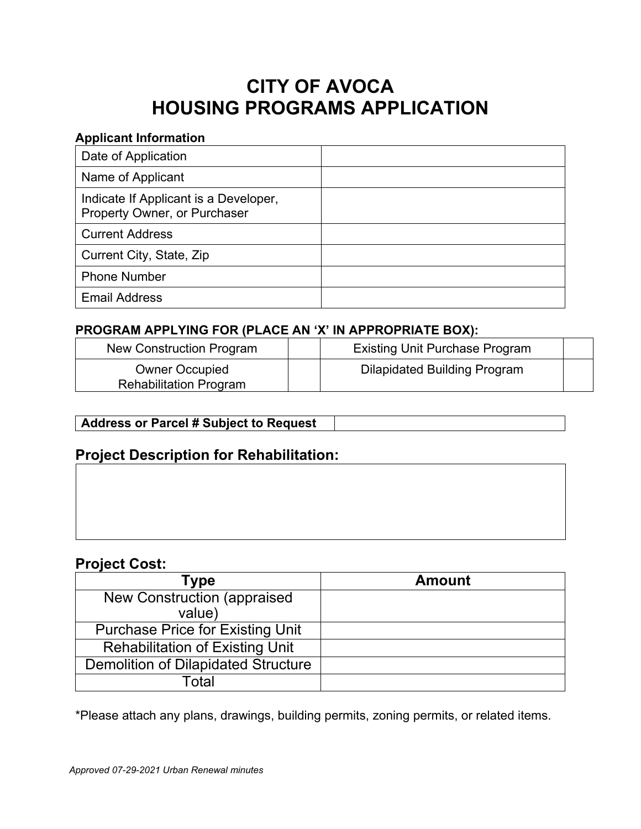# **CITY OF AVOCA HOUSING PROGRAMS APPLICATION**

#### **Applicant Information**

| Date of Application                                                   |  |
|-----------------------------------------------------------------------|--|
| Name of Applicant                                                     |  |
| Indicate If Applicant is a Developer,<br>Property Owner, or Purchaser |  |
| <b>Current Address</b>                                                |  |
| Current City, State, Zip                                              |  |
| <b>Phone Number</b>                                                   |  |
| <b>Email Address</b>                                                  |  |

# **PROGRAM APPLYING FOR (PLACE AN 'X' IN APPROPRIATE BOX):**

| New Construction Program                               | <b>Existing Unit Purchase Program</b> |  |
|--------------------------------------------------------|---------------------------------------|--|
| <b>Owner Occupied</b><br><b>Rehabilitation Program</b> | <b>Dilapidated Building Program</b>   |  |

# **Address or Parcel # Subject to Request**

# **Project Description for Rehabilitation:**

# **Project Cost:**

| Type                                       | <b>Amount</b> |
|--------------------------------------------|---------------|
| <b>New Construction (appraised)</b>        |               |
| value)                                     |               |
| <b>Purchase Price for Existing Unit</b>    |               |
| <b>Rehabilitation of Existing Unit</b>     |               |
| <b>Demolition of Dilapidated Structure</b> |               |
| <sup>-</sup> Total                         |               |

\*Please attach any plans, drawings, building permits, zoning permits, or related items.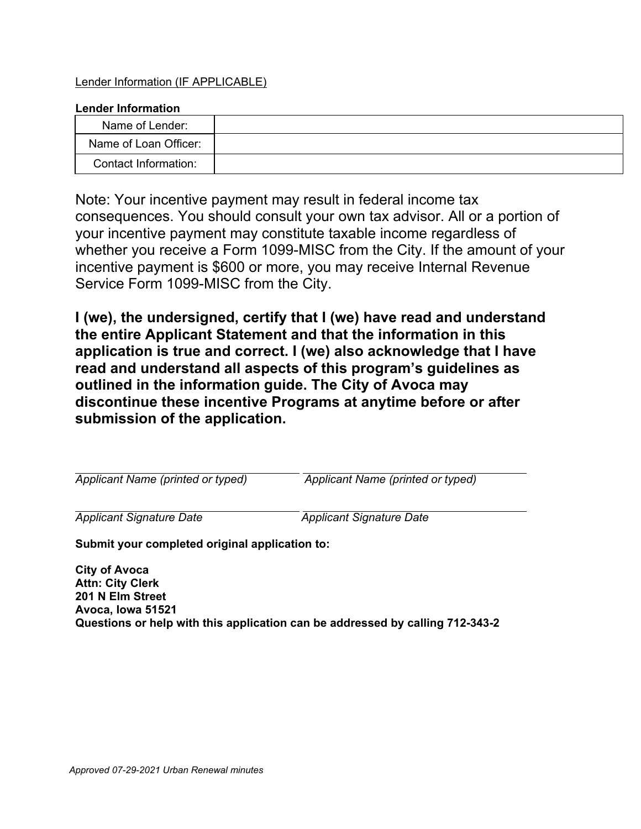#### Lender Information (IF APPLICABLE)

#### **Lender Information**

| Name of Lender:       |  |
|-----------------------|--|
| Name of Loan Officer: |  |
| Contact Information:  |  |

Note: Your incentive payment may result in federal income tax consequences. You should consult your own tax advisor. All or a portion of your incentive payment may constitute taxable income regardless of whether you receive a Form 1099-MISC from the City. If the amount of your incentive payment is \$600 or more, you may receive Internal Revenue Service Form 1099-MISC from the City.

**I (we), the undersigned, certify that I (we) have read and understand the entire Applicant Statement and that the information in this application is true and correct. I (we) also acknowledge that I have read and understand all aspects of this program's guidelines as outlined in the information guide. The City of Avoca may discontinue these incentive Programs at anytime before or after submission of the application.** 

*Applicant Name (printed or typed) Applicant Name (printed or typed)* 

*Applicant Signature Date Applicant Signature Date* 

**Submit your completed original application to:** 

**City of Avoca Attn: City Clerk 201 N Elm Street Avoca, Iowa 51521 Questions or help with this application can be addressed by calling 712-343-2**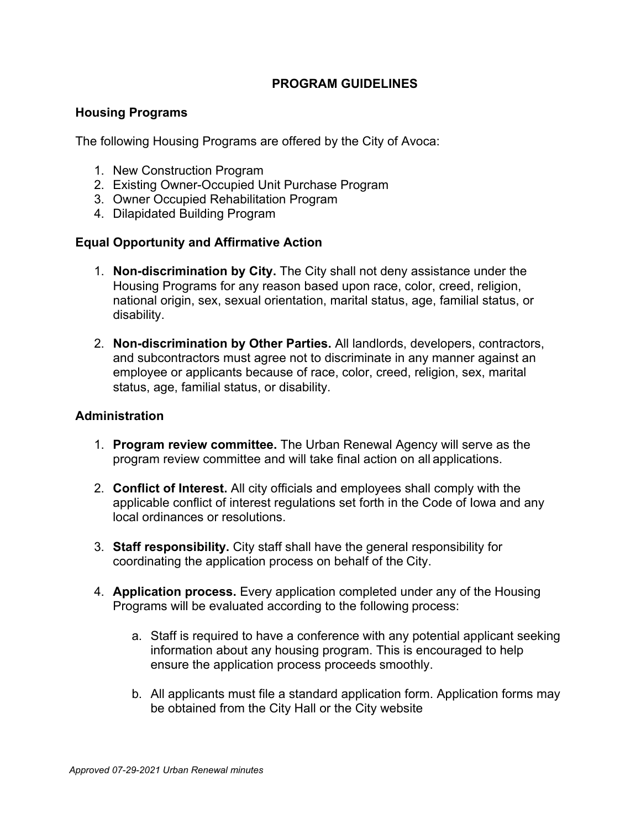# **PROGRAM GUIDELINES**

#### **Housing Programs**

The following Housing Programs are offered by the City of Avoca:

- 1. New Construction Program
- 2. Existing Owner-Occupied Unit Purchase Program
- 3. Owner Occupied Rehabilitation Program
- 4. Dilapidated Building Program

#### **Equal Opportunity and Affirmative Action**

- 1. **Non-discrimination by City.** The City shall not deny assistance under the Housing Programs for any reason based upon race, color, creed, religion, national origin, sex, sexual orientation, marital status, age, familial status, or disability.
- 2. **Non-discrimination by Other Parties.** All landlords, developers, contractors, and subcontractors must agree not to discriminate in any manner against an employee or applicants because of race, color, creed, religion, sex, marital status, age, familial status, or disability.

#### **Administration**

- 1. **Program review committee.** The Urban Renewal Agency will serve as the program review committee and will take final action on all applications.
- 2. **Conflict of Interest.** All city officials and employees shall comply with the applicable conflict of interest regulations set forth in the Code of Iowa and any local ordinances or resolutions.
- 3. **Staff responsibility.** City staff shall have the general responsibility for coordinating the application process on behalf of the City.
- 4. **Application process.** Every application completed under any of the Housing Programs will be evaluated according to the following process:
	- a. Staff is required to have a conference with any potential applicant seeking information about any housing program. This is encouraged to help ensure the application process proceeds smoothly.
	- b. All applicants must file a standard application form. Application forms may be obtained from the City Hall or the City website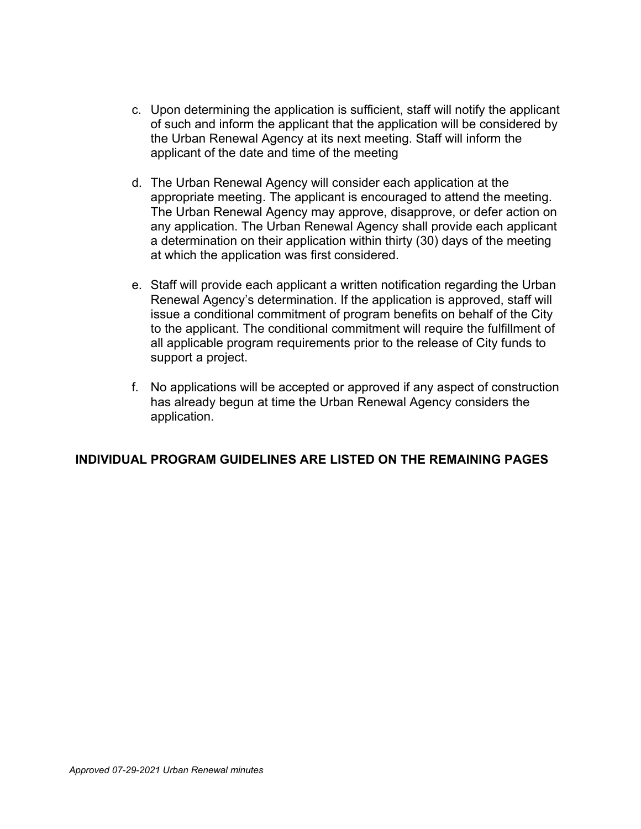- c. Upon determining the application is sufficient, staff will notify the applicant of such and inform the applicant that the application will be considered by the Urban Renewal Agency at its next meeting. Staff will inform the applicant of the date and time of the meeting
- d. The Urban Renewal Agency will consider each application at the appropriate meeting. The applicant is encouraged to attend the meeting. The Urban Renewal Agency may approve, disapprove, or defer action on any application. The Urban Renewal Agency shall provide each applicant a determination on their application within thirty (30) days of the meeting at which the application was first considered.
- e. Staff will provide each applicant a written notification regarding the Urban Renewal Agency's determination. If the application is approved, staff will issue a conditional commitment of program benefits on behalf of the City to the applicant. The conditional commitment will require the fulfillment of all applicable program requirements prior to the release of City funds to support a project.
- f. No applications will be accepted or approved if any aspect of construction has already begun at time the Urban Renewal Agency considers the application.

#### **INDIVIDUAL PROGRAM GUIDELINES ARE LISTED ON THE REMAINING PAGES**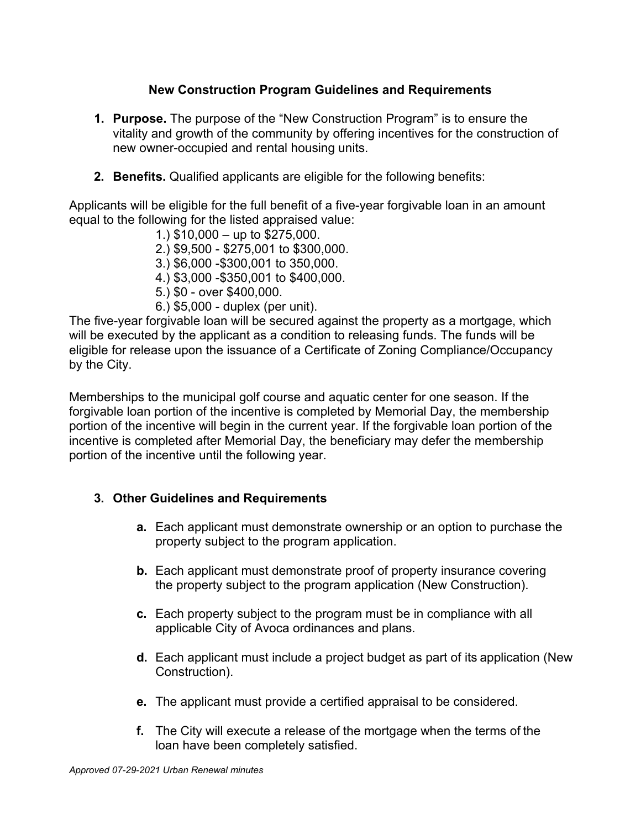# **New Construction Program Guidelines and Requirements**

- **1. Purpose.** The purpose of the "New Construction Program" is to ensure the vitality and growth of the community by offering incentives for the construction of new owner-occupied and rental housing units.
- **2. Benefits.** Qualified applicants are eligible for the following benefits:

Applicants will be eligible for the full benefit of a five-year forgivable loan in an amount equal to the following for the listed appraised value:

- 1.) \$10,000 up to \$275,000.
- 2.) \$9,500 \$275,001 to \$300,000.
- 3.) \$6,000 -\$300,001 to 350,000.
- 4.) \$3,000 -\$350,001 to \$400,000.
- 5.) \$0 over \$400,000.
- 6.) \$5,000 duplex (per unit).

The five-year forgivable loan will be secured against the property as a mortgage, which will be executed by the applicant as a condition to releasing funds. The funds will be eligible for release upon the issuance of a Certificate of Zoning Compliance/Occupancy by the City.

Memberships to the municipal golf course and aquatic center for one season. If the forgivable loan portion of the incentive is completed by Memorial Day, the membership portion of the incentive will begin in the current year. If the forgivable loan portion of the incentive is completed after Memorial Day, the beneficiary may defer the membership portion of the incentive until the following year.

- **a.** Each applicant must demonstrate ownership or an option to purchase the property subject to the program application.
- **b.** Each applicant must demonstrate proof of property insurance covering the property subject to the program application (New Construction).
- **c.** Each property subject to the program must be in compliance with all applicable City of Avoca ordinances and plans.
- **d.** Each applicant must include a project budget as part of its application (New Construction).
- **e.** The applicant must provide a certified appraisal to be considered.
- **f.** The City will execute a release of the mortgage when the terms of the loan have been completely satisfied.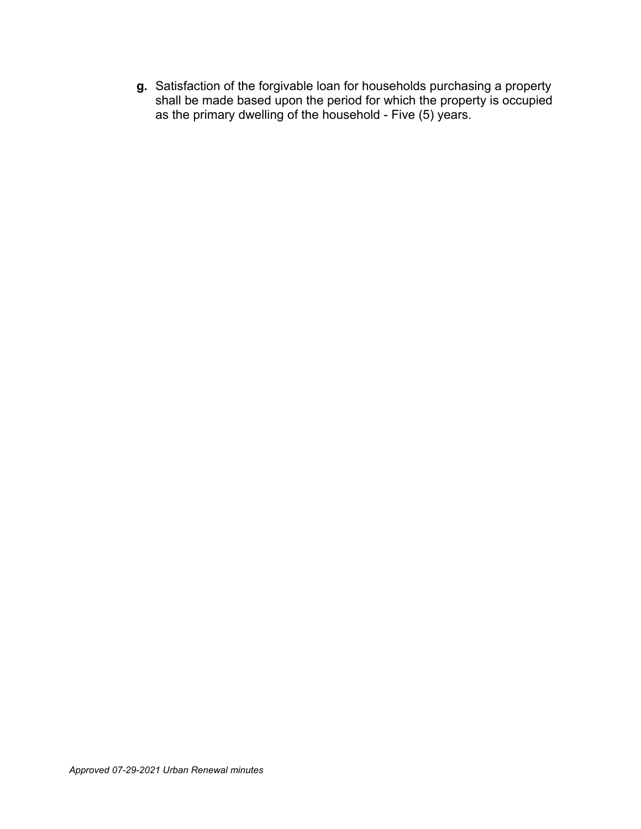**g.** Satisfaction of the forgivable loan for households purchasing a property shall be made based upon the period for which the property is occupied as the primary dwelling of the household - Five (5) years.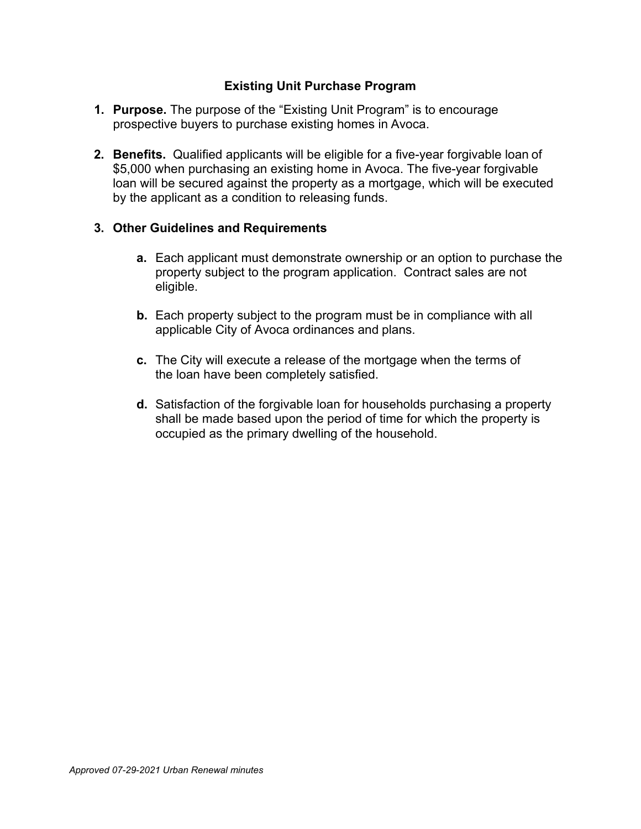# **Existing Unit Purchase Program**

- **1. Purpose.** The purpose of the "Existing Unit Program" is to encourage prospective buyers to purchase existing homes in Avoca.
- **2. Benefits.** Qualified applicants will be eligible for a five-year forgivable loan of \$5,000 when purchasing an existing home in Avoca. The five-year forgivable loan will be secured against the property as a mortgage, which will be executed by the applicant as a condition to releasing funds.

- **a.** Each applicant must demonstrate ownership or an option to purchase the property subject to the program application. Contract sales are not eligible.
- **b.** Each property subject to the program must be in compliance with all applicable City of Avoca ordinances and plans.
- **c.** The City will execute a release of the mortgage when the terms of the loan have been completely satisfied.
- **d.** Satisfaction of the forgivable loan for households purchasing a property shall be made based upon the period of time for which the property is occupied as the primary dwelling of the household.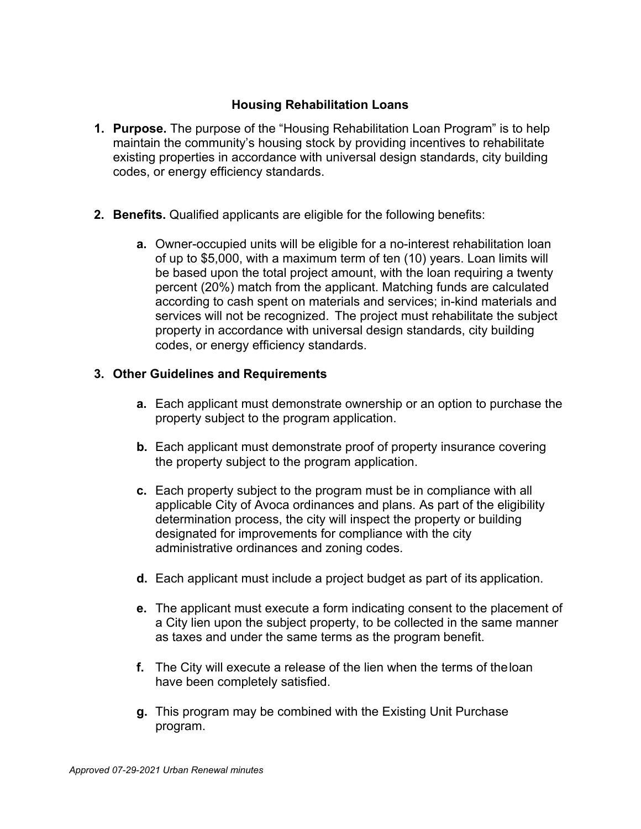#### **Housing Rehabilitation Loans**

- **1. Purpose.** The purpose of the "Housing Rehabilitation Loan Program" is to help maintain the community's housing stock by providing incentives to rehabilitate existing properties in accordance with universal design standards, city building codes, or energy efficiency standards.
- **2. Benefits.** Qualified applicants are eligible for the following benefits:
	- **a.** Owner-occupied units will be eligible for a no-interest rehabilitation loan of up to \$5,000, with a maximum term of ten (10) years. Loan limits will be based upon the total project amount, with the loan requiring a twenty percent (20%) match from the applicant. Matching funds are calculated according to cash spent on materials and services; in-kind materials and services will not be recognized. The project must rehabilitate the subject property in accordance with universal design standards, city building codes, or energy efficiency standards.

- **a.** Each applicant must demonstrate ownership or an option to purchase the property subject to the program application.
- **b.** Each applicant must demonstrate proof of property insurance covering the property subject to the program application.
- **c.** Each property subject to the program must be in compliance with all applicable City of Avoca ordinances and plans. As part of the eligibility determination process, the city will inspect the property or building designated for improvements for compliance with the city administrative ordinances and zoning codes.
- **d.** Each applicant must include a project budget as part of its application.
- **e.** The applicant must execute a form indicating consent to the placement of a City lien upon the subject property, to be collected in the same manner as taxes and under the same terms as the program benefit.
- **f.** The City will execute a release of the lien when the terms of the loan have been completely satisfied.
- **g.** This program may be combined with the Existing Unit Purchase program.